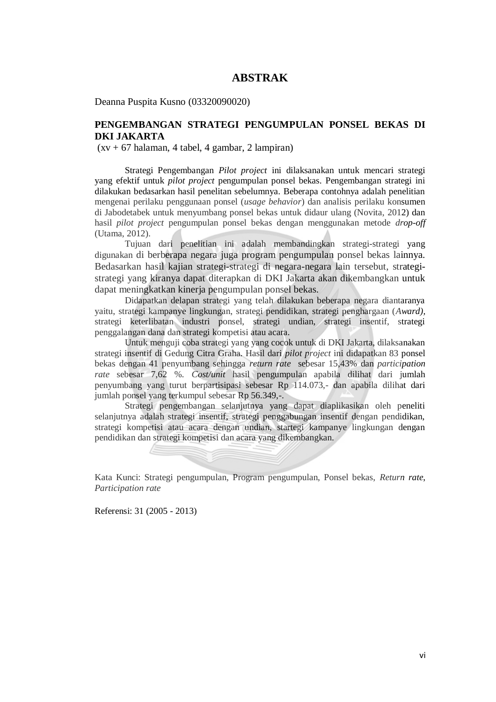## **ABSTRAK**

Deanna Puspita Kusno (03320090020)

## **PENGEMBANGAN STRATEGI PENGUMPULAN PONSEL BEKAS DI DKI JAKARTA**

(xv + 67 halaman, 4 tabel, 4 gambar, 2 lampiran)

Strategi Pengembangan *Pilot project* ini dilaksanakan untuk mencari strategi yang efektif untuk *pilot project* pengumpulan ponsel bekas. Pengembangan strategi ini dilakukan bedasarkan hasil penelitan sebelumnya. Beberapa contohnya adalah penelitian mengenai perilaku penggunaan ponsel (*usage behavior*) dan analisis perilaku konsumen di Jabodetabek untuk menyumbang ponsel bekas untuk didaur ulang (Novita, 2012) dan hasil *pilot project* pengumpulan ponsel bekas dengan menggunakan metode *drop-off* (Utama, 2012).

Tujuan dari penelitian ini adalah membandingkan strategi-strategi yang digunakan di berberapa negara juga program pengumpulan ponsel bekas lainnya. Bedasarkan hasil kajian strategi-strategi di negara-negara lain tersebut, strategistrategi yang kiranya dapat diterapkan di DKI Jakarta akan dikembangkan untuk dapat meningkatkan kinerja pengumpulan ponsel bekas.

Didapatkan delapan strategi yang telah dilakukan beberapa negara diantaranya yaitu, strategi kampanye lingkungan, strategi pendidikan, strategi penghargaan (*Award),* strategi keterlibatan industri ponsel, strategi undian, strategi insentif, strategi penggalangan dana dan strategi kompetisi atau acara.

Untuk menguji coba strategi yang yang cocok untuk di DKI Jakarta, dilaksanakan strategi insentif di Gedung Citra Graha. Hasil dari *pilot project* ini didapatkan 83 ponsel bekas dengan 41 penyumbang sehingga *return rate* sebesar 15,43% dan *participation rate* sebesar 7,62 %. *Cost/unit* hasil pengumpulan apabila dilihat dari jumlah penyumbang yang turut berpartisipasi sebesar Rp 114.073,- dan apabila dilihat dari jumlah ponsel yang terkumpul sebesar Rp 56.349,-.

Strategi pengembangan selanjutnya yang dapat diaplikasikan oleh peneliti selanjutnya adalah strategi insentif, strategi penggabungan insentif dengan pendidikan, strategi kompetisi atau acara dengan undian, startegi kampanye lingkungan dengan pendidikan dan strategi kompetisi dan acara yang dikembangkan.

Kata Kunci: Strategi pengumpulan, Program pengumpulan, Ponsel bekas, *Return rate*, *Participation rate*

Referensi: 31 (2005 - 2013)